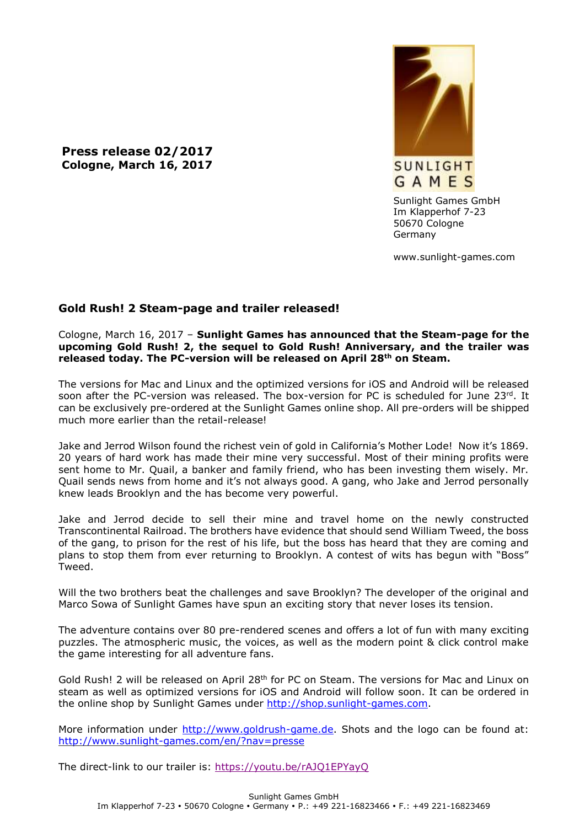**Press release 02/2017 Cologne, March 16, 2017**



Sunlight Games GmbH Im Klapperhof 7-23 50670 Cologne Germany

www.sunlight-games.com

## **Gold Rush! 2 Steam-page and trailer released!**

## Cologne, March 16, 2017 – **Sunlight Games has announced that the Steam-page for the upcoming Gold Rush! 2, the sequel to Gold Rush! Anniversary, and the trailer was released today. The PC-version will be released on April 28th on Steam.**

The versions for Mac and Linux and the optimized versions for iOS and Android will be released soon after the PC-version was released. The box-version for PC is scheduled for June  $23^{rd}$ . It can be exclusively pre-ordered at the Sunlight Games online shop. All pre-orders will be shipped much more earlier than the retail-release!

Jake and Jerrod Wilson found the richest vein of gold in California's Mother Lode! Now it's 1869. 20 years of hard work has made their mine very successful. Most of their mining profits were sent home to Mr. Quail, a banker and family friend, who has been investing them wisely. Mr. Quail sends news from home and it's not always good. A gang, who Jake and Jerrod personally knew leads Brooklyn and the has become very powerful.

Jake and Jerrod decide to sell their mine and travel home on the newly constructed Transcontinental Railroad. The brothers have evidence that should send William Tweed, the boss of the gang, to prison for the rest of his life, but the boss has heard that they are coming and plans to stop them from ever returning to Brooklyn. A contest of wits has begun with "Boss" Tweed.

Will the two brothers beat the challenges and save Brooklyn? The developer of the original and Marco Sowa of Sunlight Games have spun an exciting story that never loses its tension.

The adventure contains over 80 pre-rendered scenes and offers a lot of fun with many exciting puzzles. The atmospheric music, the voices, as well as the modern point & click control make the game interesting for all adventure fans.

Gold Rush! 2 will be released on April 28<sup>th</sup> for PC on Steam. The versions for Mac and Linux on steam as well as optimized versions for iOS and Android will follow soon. It can be ordered in the online shop by Sunlight Games under [http://shop.sunlight-games.com.](http://shop.sunlight-games.com/)

More information under [http://www.goldrush-game.de.](http://www.goldrush-game.de/) Shots and the logo can be found at: <http://www.sunlight-games.com/en/?nav=presse>

The direct-link to our trailer is:<https://youtu.be/rAJQ1EPYayQ>